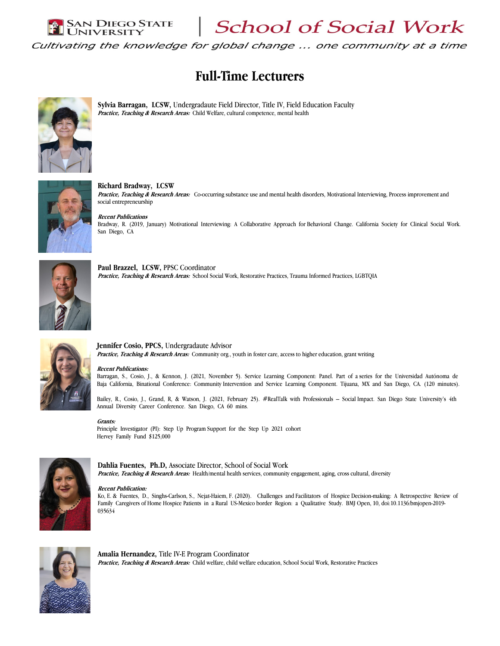Richard Bradway, LCSW

 $|\textsc{San Diego STATE}\atop \textsc{University}|$  School of Social Work

Cultivating the knowledge for global change ... one community at a time

# Full-Time Lecturers



Sylvia Barragan, LCSW, Undergradaute Field Director, Title IV, Field Education Faculty Practice, Teaching & Research Areas: Child Welfare, cultural competence, mental health



Practice, Teaching & Research Areas: Co-occurring substance use and mental health disorders, Motivational Interviewing, Process improvement and social entrepreneurship Recent Publications

Bradway, R. (2019, January) Motivational Interviewing: A Collaborative Approach for Behavioral Change. California Society for Clinical Social Work. San Diego, CA



Paul Brazzel, LCSW, PPSC Coordinator Practice, Teaching & Research Areas: School Social Work, Restorative Practices, Trauma Informed Practices, LGBTQIA



#### Jennifer Cosio, PPCS, Undergradaute Advisor

Practice, Teaching & Research Areas: Community org., youth in foster care, access to higher education, grant writing

#### Recent Publications:

Barragan, S., Cosio, J., & Kennon, J. (2021, November 5). Service Learning Component: Panel. Part of a series for the Universidad Autónoma de Baja California, Binational Conference: Community Intervention and Service Learning Component. Tijuana, MX and San Diego, CA. (120 minutes).

Bailey, R., Cosio, J., Grand, R, & Watson, J. (2021, February 25). #RealTalk with Professionals - Social Impact. San Diego State University's 4th Annual Diversity Career Conference. San Diego, CA 60 mins.

#### Grants:

Principle Investigator (PI): Step Up Program Support for the Step Up 2021 cohort Hervey Family Fund \$125,000



Dahlia Fuentes, Ph.D, Associate Director, School of Social Work Practice, Teaching & Research Areas: Health/mental health services, community engagement, aging, cross cultural, diversity

#### Recent Publication:

Ko, E. & Fuentes, D., Singhs-Carlson, S., Nejat-Haiem, F. (2020). Challenges and Facilitators of Hospice Decision-making: A Retrospective Review of Family Caregivers of Home Hospice Patients in a Rural US-Mexico border Region: a Qualitative Study. BMJ Open, 10, doi:10.1136/bmjopen-2019- 035634



Amalia Hernandez, Title IV-E Program Coordinator Practice, Teaching & Research Areas: Child welfare, child welfare education, School Social Work, Restorative Practices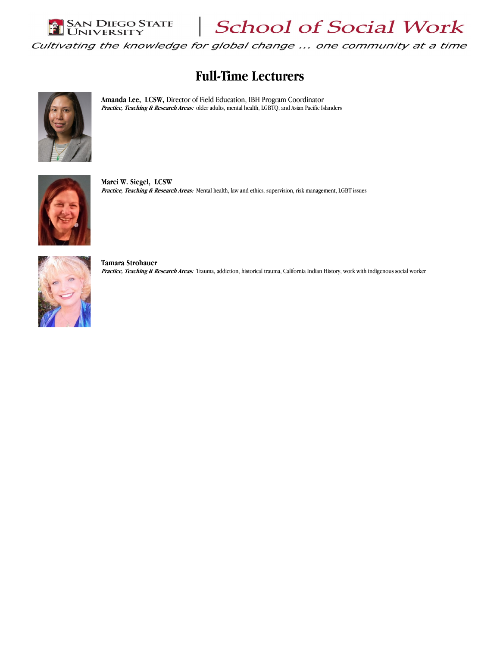

School of Social Work

Cultivating the knowledge for global change ... one community at a time

# Full-Time Lecturers



Amanda Lee, LCSW, Director of Field Education, IBH Program Coordinator Practice, Teaching & Research Areas: older adults, mental health, LGBTQ, and Asian Pacific Islanders



Marci W. Siegel, LCSW Practice, Teaching & Research Areas: Mental health, law and ethics, supervision, risk management, LGBT issues



Tamara Strohauer Practice, Teaching & Research Areas: Trauma, addiction, historical trauma, California Indian History, work with indigenous social worker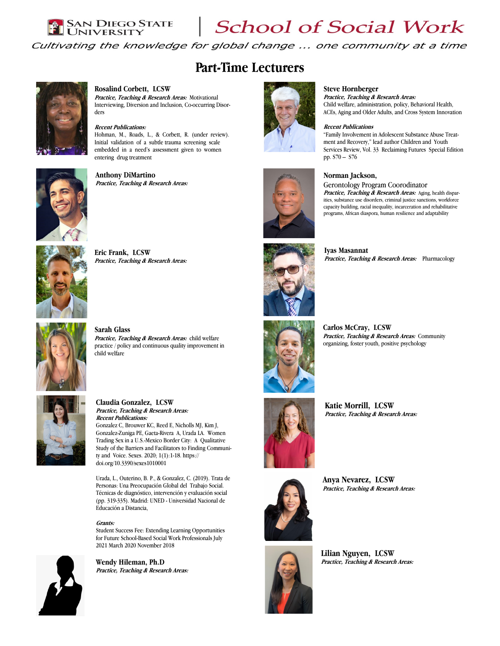# $\left| \begin{array}{l} \text{SAN DIEGO STATE} \ \text{OINIVERSITY} \end{array} \right|$  School of Social Work

Norman Jackson,

Cultivating the knowledge for global change ... one community at a time

## Part-Time Lecturers



#### Rosalind Corbett, LCSW

Practice, Teaching & Research Areas: Motivational Interviewing, Diversion and Inclusion, Co-occurring Disorders

### Recent Publications:

Hohman, M., Roads, L., & Corbett, R. (under review). Initial validation of a subtle trauma screening scale embedded in a need's assessment given to women entering drug treatment



### Anthony DiMartino Practice, Teaching & Research Areas:



Eric Frank, LCSW Practice, Teaching & Research Areas:



#### Sarah Glass Practice, Teaching & Research Areas: child welfare practice / policy and continuous quality improvement in child welfare



Claudia Gonzalez, LCSW Practice, Teaching & Research Areas: Recent Publications: Gonzalez C, Brouwer KC, Reed E, Nicholls MJ, Kim J, Gonzalez-Zuniga PE, Gaeta-Rivera A, Urada LA. Women Trading Sex in a U.S.-Mexico Border City: A Qualitative Study of the Barriers and Facilitators to Finding Community and Voice. Sexes. 2020; 1(1):1-18. https://

doi.org/10.3390/sexes1010001

Urada, L., Outerino, B. P., & Gonzalez, C. (2019). Trata de Personas: Una Preocupación Global del Trabajo Social. Técnicas de diagnóstico, intervención y evaluación social (pp. 319-335). Madrid: UNED - Universidad Nacional de Educación a Distancia,

#### Grants:

Student Success Fee: Extending Learning Opportunities for Future School-Based Social Work Professionals July 2021 March 2020 November 2018



Wendy Hileman, Ph.D Practice, Teaching & Research Areas:



Iyas Masannat Practice, Teaching & Research Areas: Pharmacology

Practice, Teaching & Research Areas: Aging, health disparities, substance use disorders, criminal justice sanctions, workforce capacity building, racial inequality, incarceration and rehabilitative programs, African diaspora, human resilience and adaptability

Gerontology Program Coorodinator











Lilian Nguyen, LCSW Practice, Teaching & Research Areas:

Anya Nevarez, LCSW Practice, Teaching & Research Areas: